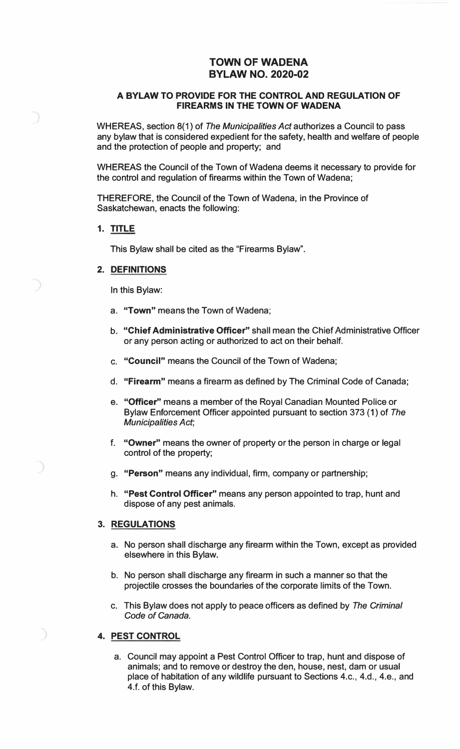# **TOWN OF WADENA BYLAW NO. 2020-02**

### **A BYLAW TO PROVIDE FOR THE CONTROL AND REGULATION OF FIREARMS IN THE TOWN OF WADENA**

WHEREAS, section 8(1) of *The Municipalities Act* authorizes a Council to pass any bylaw that is considered expedient for the safety, health and welfare of people and the protection of people and property; and

WHEREAS the Council of the Town of Wadena deems it necessary to provide for the control and regulation of firearms within the Town of Wadena;

THEREFORE, the Council of the Town of Wadena, in the Province of Saskatchewan, enacts the following:

#### **1. TITLE**

This Bylaw shall be cited as the "Firearms Bylaw".

## **2. DEFINITIONS**

In this Bylaw:

- a. **"Town"** means the Town of Wadena;
- b. **"Chief Administrative Officer"** shall mean the Chief Administrative Officer or any person acting or authorized to act on their behalf.
- c. **"Council"** means the Council of the Town of Wadena;
- d. **"Firearm"** means a firearm as defined by The Criminal Code of Canada;
- e. **"Officer"** means a member of the Royal Canadian Mounted Police or Bylaw Enforcement Officer appointed pursuant to section 373 (1) of *The Municipalities Act;*
- f. **"Owner"** means the owner of property or the person in charge or legal control of the property;
- g. **"Person"** means any individual, firm, company or partnership;
- h. **"Pest Control Officer"** means any person appointed to trap, hunt and dispose of any pest animals.

#### **3. REGULATIONS**

- a. No person shall discharge any firearm within the Town, except as provided elsewhere in this Bylaw.
- b. No person shall discharge any firearm in such a manner so that the projectile crosses the boundaries of the corporate limits of the Town.
- c. This Bylaw does not apply to peace officers as defined by *The Criminal Code of Canada.*

## **4. PEST CONTROL**

a. Council may appoint a Pest Control Officer to trap, hunt and dispose of animals; and to remove or destroy the den, house, nest, dam or usual place of habitation of any wildlife pursuant to Sections 4.c., 4.d., 4.e., and 4.f. of this Bylaw.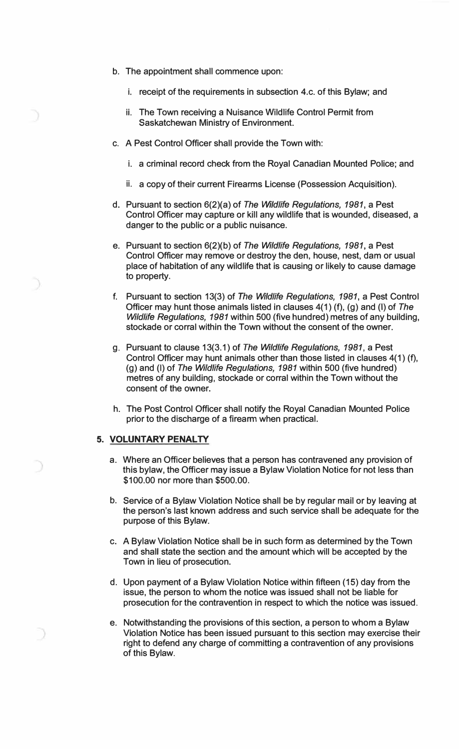- b. The appointment shall commence upon:
	- i. receipt of the requirements in subsection 4.c. of this Bylaw; and
	- ii. The Town receiving a Nuisance Wildlife Control Permit from Saskatchewan Ministry of Environment.
- c. A Pest Control Officer shall provide the Town with:
	- i. a criminal record check from the Royal Canadian Mounted Police; and
	- ii. a copy of their current Firearms License (Possession Acquisition).
- d. Pursuant to section 6(2)(a) of *The Wildlife Regulations, 1981,* a Pest Control Officer may capture or kill any wildlife that is wounded, diseased, a danger to the public or a public nuisance.
- e. Pursuant to section 6(2)(b) of *The Wildlife Regulations, 1981,* a Pest Control Officer may remove or destroy the den, house, nest, dam or usual place of habitation of any wildlife that is causing or likely to cause damage to property.
- f. Pursuant to section 13(3) of *The Wildlife Regulations, 1981,* a Pest Control Officer may hunt those animals listed in clauses 4(1) (f), (g) and (I) of *The Wildlife Regulations, 1981* within 500 (five hundred) metres of any building, stockade or corral within the Town without the consent of the owner.
- g. Pursuant to clause 13(3.1) of *The Wildlife Regulations, 1981,* a Pest Control Officer may hunt animals other than those listed in clauses 4( 1) (f), (g) and (I) of *The Wildlife Regulations, 1981* within 500 (five hundred) metres of any building, stockade or corral within the Town without the consent of the owner.
- h. The Post Control Officer shall notify the Royal Canadian Mounted Police prior to the discharge of a firearm when practical.

#### **5. VOLUNTARY PENALTY**

- a. Where an Officer believes that a person has contravened any provision of this bylaw, the Officer may issue a Bylaw Violation Notice for not less than \$100.00 nor more than \$500.00.
- b. Service of a Bylaw Violation Notice shall be by regular mail or by leaving at the person's last known address and such service shall be adequate for the purpose of this Bylaw.
- c. A Bylaw Violation Notice shall be in such form as determined by the Town and shall state the section and the amount which will be accepted by the Town in lieu of prosecution.
- d. Upon payment of a Bylaw Violation Notice within fifteen (15) day from the issue, the person to whom the notice was issued shall not be liable for prosecution for the contravention in respect to which the notice was issued.
- e. Notwithstanding the provisions of this section, a person to whom a Bylaw Violation Notice has been issued pursuant to this section may exercise their right to defend any charge of committing a contravention of any provisions of this Bylaw.